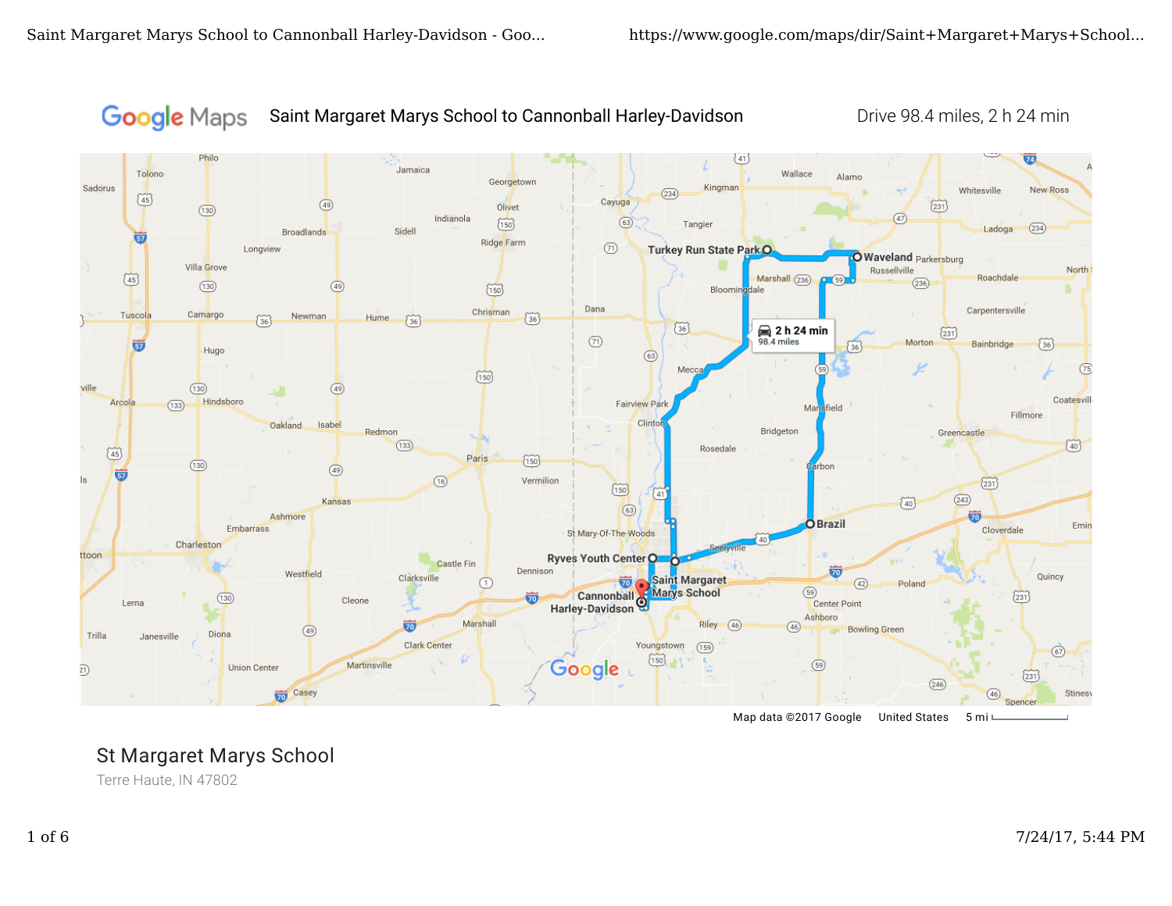

Saint Margaret Marys School to Cannonball Harley-Davidson Drive 98.4 miles, 2 h 24 min



Map data ©2017 Google United States 5 mi

# St Margaret Marys School

Terre Haute, IN 47802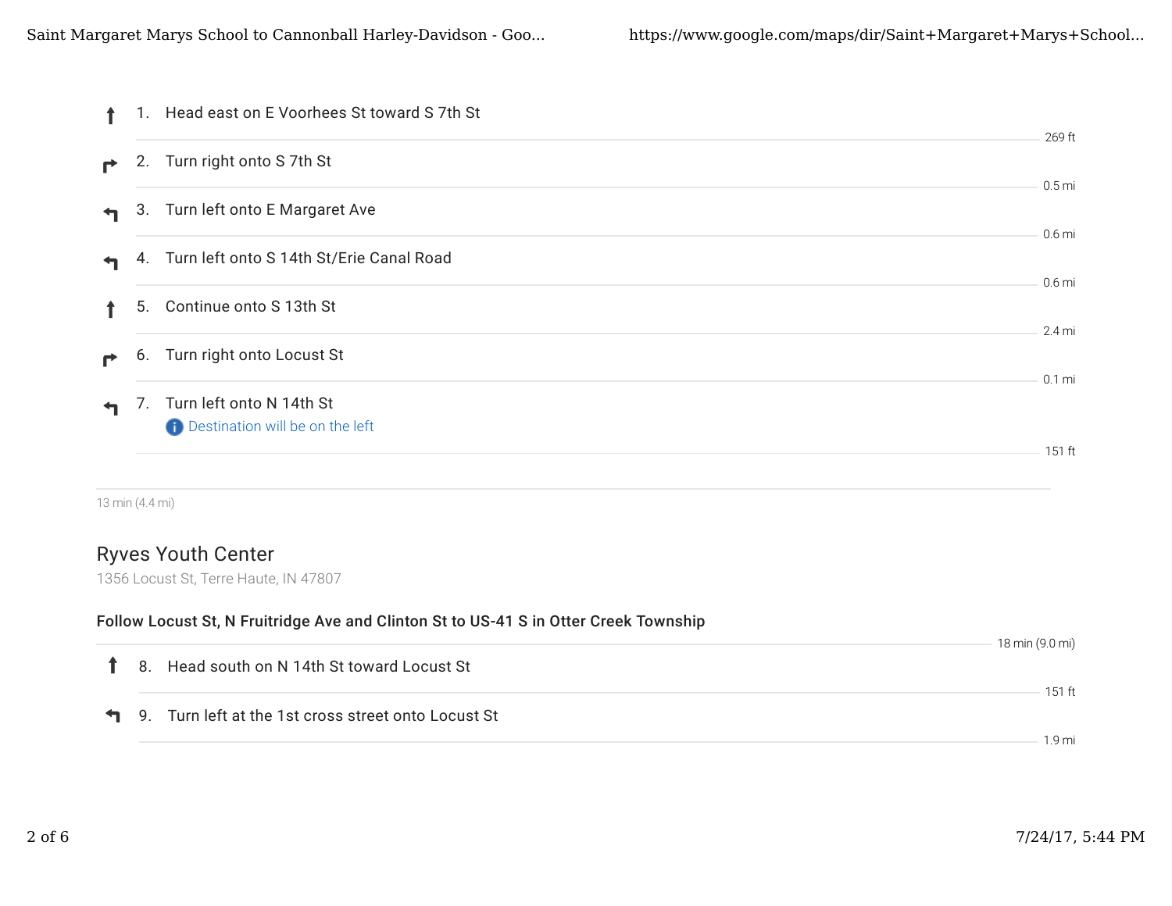|                      |    | 1. Head east on E Voorhees St toward S 7th St                  | 269 ft            |
|----------------------|----|----------------------------------------------------------------|-------------------|
| $\rightarrow$        |    | 2. Turn right onto S 7th St                                    | 0.5 <sub>mi</sub> |
| $\mathbf{H}$         |    | 3. Turn left onto E Margaret Ave                               | 0.6 <sub>mi</sub> |
| $\blacktriangleleft$ |    | 4. Turn left onto S 14th St/Erie Canal Road                    | 0.6 <sub>mi</sub> |
|                      | 5. | Continue onto S 13th St                                        | 2.4 mi            |
| ₹                    | 6. | Turn right onto Locust St                                      | $0.1 \text{ mi}$  |
| $\blacktriangleleft$ |    | 7. Turn left onto N 14th St<br>Destination will be on the left |                   |
|                      |    |                                                                | 151 ft            |

13 min (4.4 mi)

## Ryves Youth Center

1356 Locust St, Terre Haute, IN 47807

### Follow Locust St, N Fruitridge Ave and Clinton St to US-41 S in Otter Creek Township

|  |                                                              | 18 min (9.0 mi) |
|--|--------------------------------------------------------------|-----------------|
|  | 1 8. Head south on N 14th St toward Locust St                |                 |
|  |                                                              | $151$ ft        |
|  | <b>1</b> 9. Turn left at the 1st cross street onto Locust St |                 |
|  |                                                              | 19 mi           |
|  |                                                              |                 |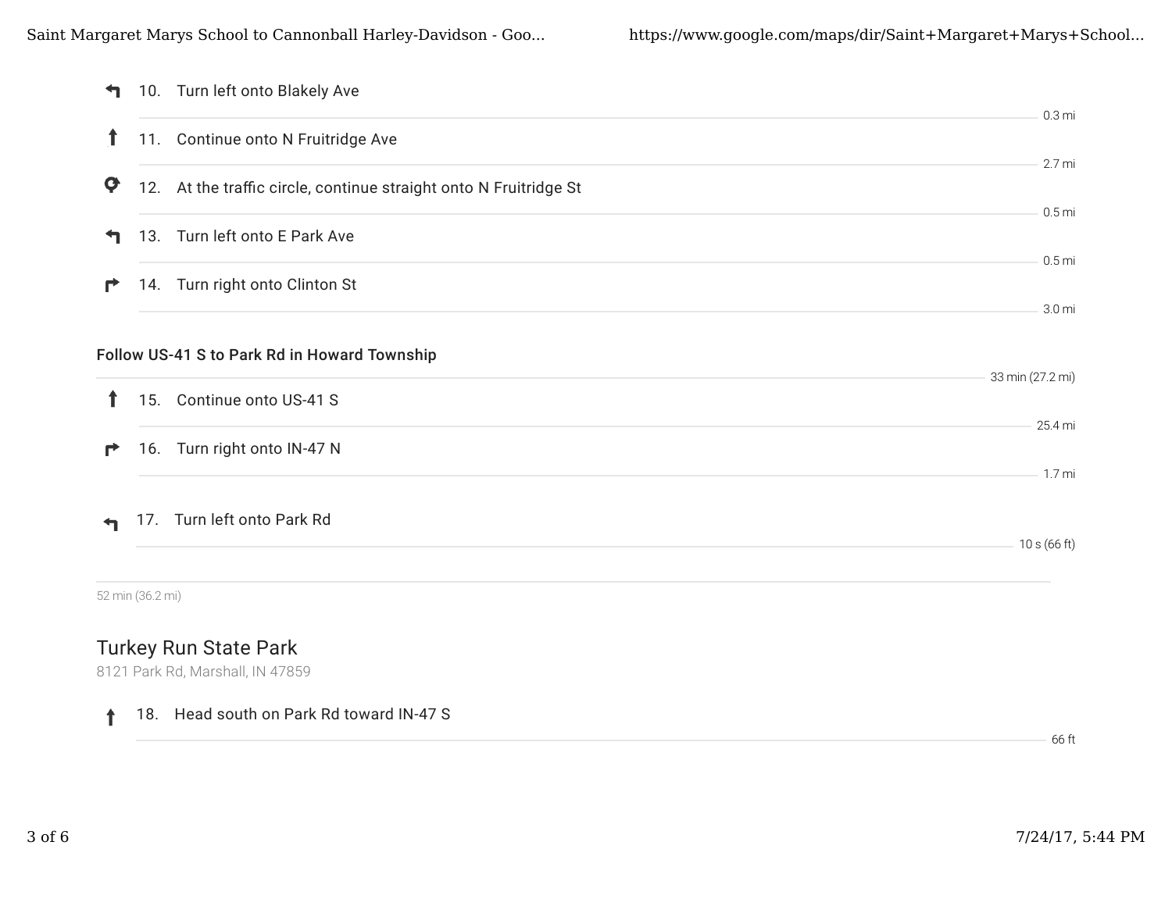| ↰            |                  | 10. Turn left onto Blakely Ave                                    | 0.3 <sub>mi</sub> |
|--------------|------------------|-------------------------------------------------------------------|-------------------|
| $\mathbf{r}$ |                  | 11. Continue onto N Fruitridge Ave                                |                   |
| φ            |                  | 12. At the traffic circle, continue straight onto N Fruitridge St | 2.7 mi            |
| ┑            |                  | 13. Turn left onto E Park Ave                                     | 0.5 <sub>mi</sub> |
| r            |                  | 14. Turn right onto Clinton St                                    | 0.5 <sub>mi</sub> |
|              |                  | Follow US-41 S to Park Rd in Howard Township                      | 3.0 <sub>mi</sub> |
|              |                  |                                                                   | 33 min (27.2 mi)  |
| î.           |                  | 15. Continue onto US-41 S                                         | 25.4 mi           |
| r            |                  | 16. Turn right onto IN-47 N                                       |                   |
|              |                  |                                                                   | 1.7 mi            |
|              |                  | 17. Turn left onto Park Rd                                        | 10 s (66 ft)      |
|              |                  |                                                                   |                   |
|              | 52 min (36.2 mi) |                                                                   |                   |
|              |                  | <b>Turkey Run State Park</b>                                      |                   |
|              |                  | 8121 Park Rd, Marshall, IN 47859                                  |                   |

#### 18. Head south on Park Rd toward IN-47 S  $\uparrow$

66 ft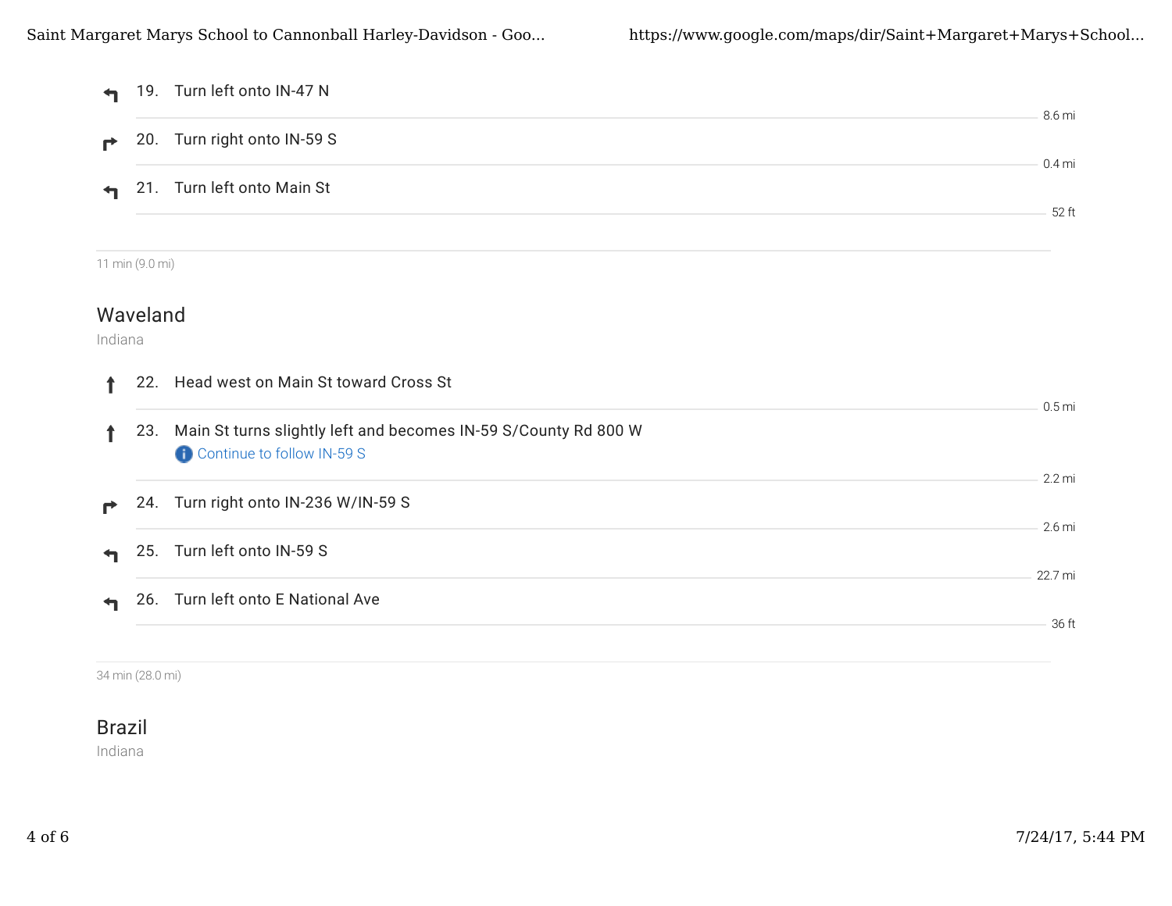| $\blacktriangleleft$ |                 | 19. Turn left onto IN-47 N                                                                    | 8.6 mi            |
|----------------------|-----------------|-----------------------------------------------------------------------------------------------|-------------------|
| ₹                    | 20.             | Turn right onto IN-59 S                                                                       |                   |
|                      |                 | 21. Turn left onto Main St                                                                    | $0.4$ mi          |
|                      |                 |                                                                                               | 52 ft             |
|                      | 11 min (9.0 mi) |                                                                                               |                   |
| Indiana              | Waveland        |                                                                                               |                   |
| ↑                    |                 | 22. Head west on Main St toward Cross St                                                      | 0.5 <sub>mi</sub> |
| ↑                    | 23.             | Main St turns slightly left and becomes IN-59 S/County Rd 800 W<br>Continue to follow IN-59 S |                   |
| r                    |                 | 24. Turn right onto IN-236 W/IN-59 S                                                          | 2.2 mi            |
| ᡨ                    | 25.             | Turn left onto IN-59 S                                                                        | 2.6 mi            |
|                      |                 | 26. Turn left onto E National Ave                                                             | 22.7 mi           |
|                      |                 |                                                                                               | 36 ft             |

34 min (28.0 mi)

### Brazil

Indiana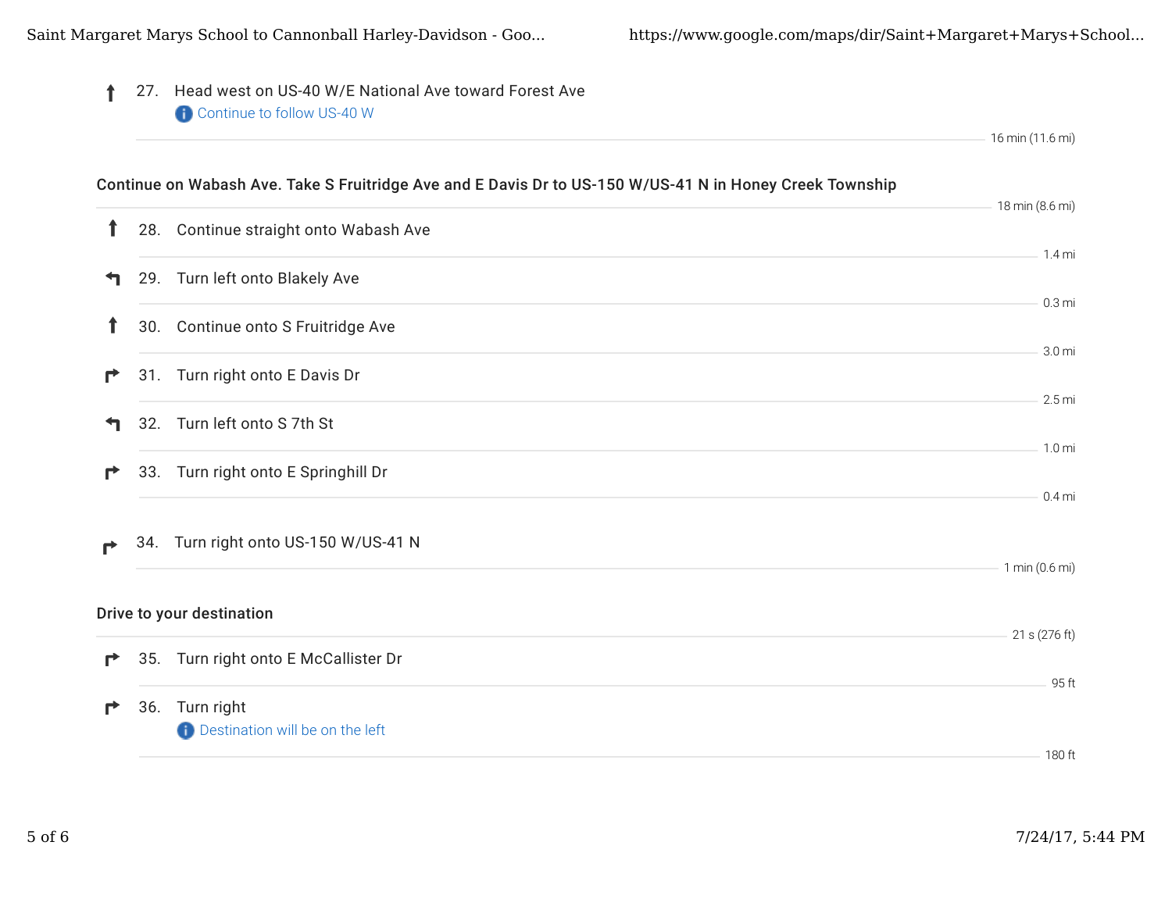| 27. Head west on US-40 W/E National Ave toward Forest Ave<br>Continue to follow US-40 W |                                                                                                                                                                                                                                                                                                                                                                                                                                                                                                            |
|-----------------------------------------------------------------------------------------|------------------------------------------------------------------------------------------------------------------------------------------------------------------------------------------------------------------------------------------------------------------------------------------------------------------------------------------------------------------------------------------------------------------------------------------------------------------------------------------------------------|
|                                                                                         | 16 min (11.6 mi)                                                                                                                                                                                                                                                                                                                                                                                                                                                                                           |
|                                                                                         | 18 min (8.6 mi)                                                                                                                                                                                                                                                                                                                                                                                                                                                                                            |
|                                                                                         |                                                                                                                                                                                                                                                                                                                                                                                                                                                                                                            |
|                                                                                         | $1.4$ mi                                                                                                                                                                                                                                                                                                                                                                                                                                                                                                   |
|                                                                                         | 0.3 <sub>mi</sub>                                                                                                                                                                                                                                                                                                                                                                                                                                                                                          |
|                                                                                         | 3.0 mi                                                                                                                                                                                                                                                                                                                                                                                                                                                                                                     |
|                                                                                         | $2.5 \,\mathrm{mi}$                                                                                                                                                                                                                                                                                                                                                                                                                                                                                        |
|                                                                                         | 1.0 <sub>mi</sub>                                                                                                                                                                                                                                                                                                                                                                                                                                                                                          |
|                                                                                         | $0.4$ mi                                                                                                                                                                                                                                                                                                                                                                                                                                                                                                   |
|                                                                                         | 1 min (0.6 mi)                                                                                                                                                                                                                                                                                                                                                                                                                                                                                             |
|                                                                                         |                                                                                                                                                                                                                                                                                                                                                                                                                                                                                                            |
|                                                                                         | 21 s (276 ft)                                                                                                                                                                                                                                                                                                                                                                                                                                                                                              |
|                                                                                         | 95 ft                                                                                                                                                                                                                                                                                                                                                                                                                                                                                                      |
|                                                                                         | 180 ft                                                                                                                                                                                                                                                                                                                                                                                                                                                                                                     |
|                                                                                         | Continue on Wabash Ave. Take S Fruitridge Ave and E Davis Dr to US-150 W/US-41 N in Honey Creek Township<br>28. Continue straight onto Wabash Ave<br>29. Turn left onto Blakely Ave<br>30. Continue onto S Fruitridge Ave<br>31. Turn right onto E Davis Dr<br>32. Turn left onto S 7th St<br>33. Turn right onto E Springhill Dr<br>34. Turn right onto US-150 W/US-41 N<br>Drive to your destination<br>35. Turn right onto E McCallister Dr<br>36. Turn right<br><b>Destination will be on the left</b> |